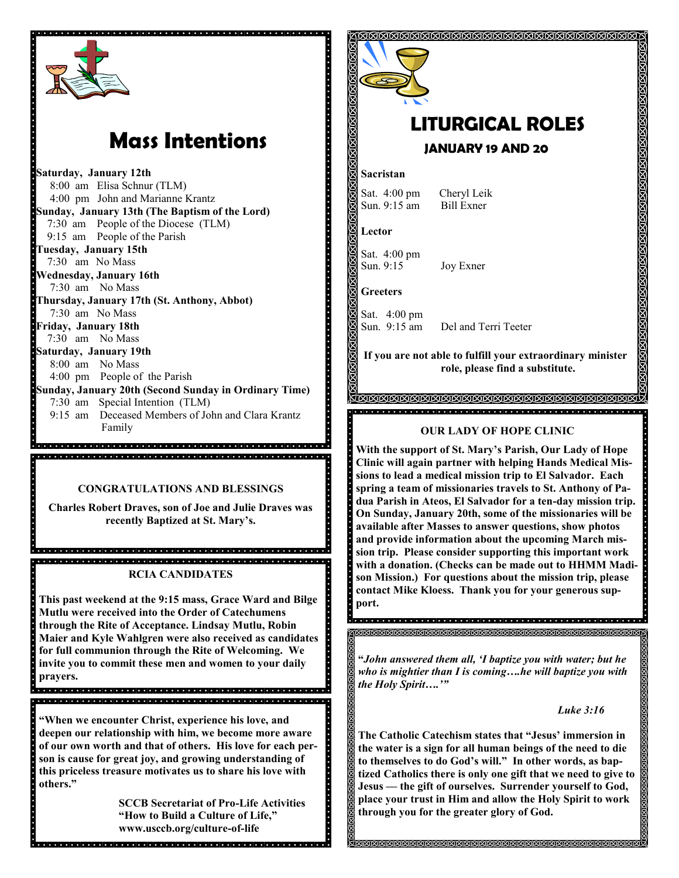

# **Mass Intentions**

**Saturday, January 12th** 8:00 am Elisa Schnur (TLM) 4:00 pm John and Marianne Krantz **Sunday, January 13th (The Baptism of the Lord)** 7:30 am People of the Diocese (TLM) 9:15 am People of the Parish **Tuesday, January 15th** 7:30 am No Mass **Wednesday, January 16th** 7:30 am No Mass **Thursday, January 17th (St. Anthony, Abbot)** 7:30 am No Mass **Friday, January 18th** 7:30 am No Mass **Saturday, January 19th**  8:00 am No Mass 4:00 pm People of the Parish **Sunday, January 20th (Second Sunday in Ordinary Time)** 7:30 am Special Intention (TLM) 9:15 am Deceased Members of John and Clara Krantz Family

#### **CONGRATULATIONS AND BLESSINGS**

ide de la ciología de la ciología de la ciología de la ciología de la ciología de la ciología de la ciología d

**Charles Robert Draves, son of Joe and Julie Draves was recently Baptized at St. Mary's.** 

.<br>Ideiala de al de al del de la cida de al del de la cida de la cida de la cida de la cida de la cida de la cida **RCIA CANDIDATES**

**This past weekend at the 9:15 mass, Grace Ward and Bilge Mutlu were received into the Order of Catechumens through the Rite of Acceptance. Lindsay Mutlu, Robin Maier and Kyle Wahlgren were also received as candidates for full communion through the Rite of Welcoming. We invite you to commit these men and women to your daily prayers.**

.<br>La diale de la diale de la diale de la diale de la diale de la diale diale diale diale diale diale diale diale

**"When we encounter Christ, experience his love, and deepen our relationship with him, we become more aware of our own worth and that of others. His love for each person is cause for great joy, and growing understanding of this priceless treasure motivates us to share his love with others."**

**SCCB Secretariat of Pro-Life Activities "How to Build a Culture of Life," www.usccb.org/culture-of-life**

**The Property Party** 



## **LITURGICAL ROLES JANUARY 19 AND 20**

#### **Sacristan**

Sat. 4:00 pm Cheryl Leik Sun. 9:15 am Bill Exner

**Lector**

Sat. 4:00 pm Sun. 9:15 Joy Exner

**Greeters**

Sat. 4:00 pm<br>Sun. 9:15 am Del and Terri Teeter

**If you are not able to fulfill your extraordinary minister role, please find a substitute.** 

#### <u>KANANANANANANANANANANANANANA</u> <u>. 1999 - 1999 - 1999 - 1999 - 1999 - 1999 - 1999 - 1999 - 1999 - 1999 - 1999 - 1999 - 1999 - 1999 - 1999 - 19</u>

#### **OUR LADY OF HOPE CLINIC**

**With the support of St. Mary's Parish, Our Lady of Hope Clinic will again partner with helping Hands Medical Missions to lead a medical mission trip to El Salvador. Each spring a team of missionaries travels to St. Anthony of Padua Parish in Ateos, El Salvador for a ten-day mission trip. On Sunday, January 20th, some of the missionaries will be available after Masses to answer questions, show photos and provide information about the upcoming March mission trip. Please consider supporting this important work with a donation. (Checks can be made out to HHMM Madison Mission.) For questions about the mission trip, please contact Mike Kloess. Thank you for your generous support.** 

**"***John answered them all, 'I baptize you with water; but he who is mightier than I is coming….he will baptize you with the Holy Spirit….'"*

#### *Luke 3:16*

**The Catholic Catechism states that "Jesus' immersion in the water is a sign for all human beings of the need to die to themselves to do God's will." In other words, as baptized Catholics there is only one gift that we need to give to Jesus — the gift of ourselves. Surrender yourself to God, place your trust in Him and allow the Holy Spirit to work through you for the greater glory of God.**

**MAAAAAAAAAAAAAAAAAAAA**